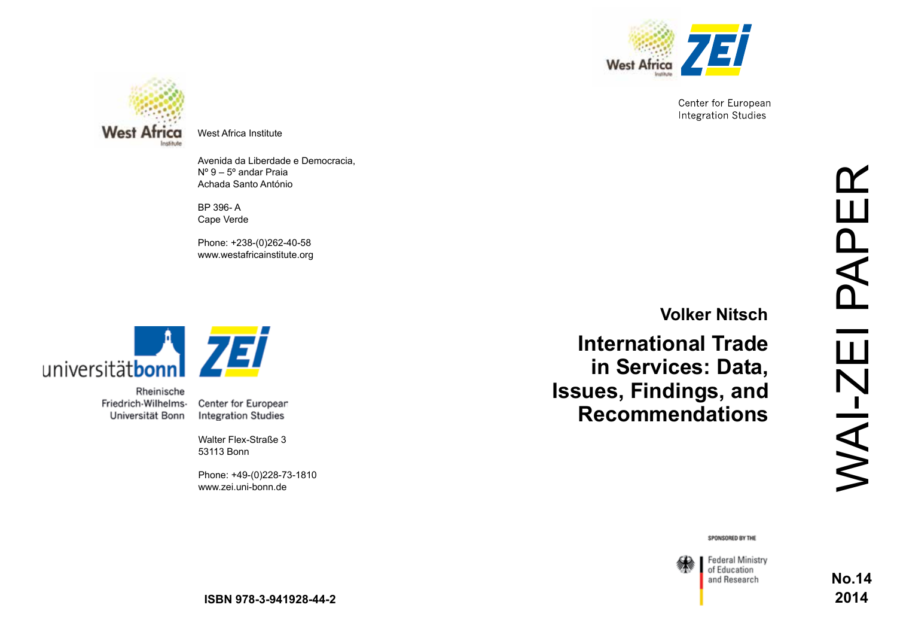

Center for European **Integration Studies** 



West Africa Institute

Avenida da Liberdade e Democracia, Nº 9 – 5º andar Praia Achada Santo António

BP 396- A Cape Verde

Phone: +238-(0)262-40-58 www.westafricainstitute.org



Rheinische Friedrich-Wilhelms-Universität Bonn

Center for European **Integration Studies** 

Walter Flex-Straße 3 53113 Bonn

Phone: +49-(0)228-73-1810 www.zei.uni-bonn.de

**Volker Nitsch**

**International Trade in Services: Data, Issues, Findings, and Recommendations**

SPONSORED BY THE

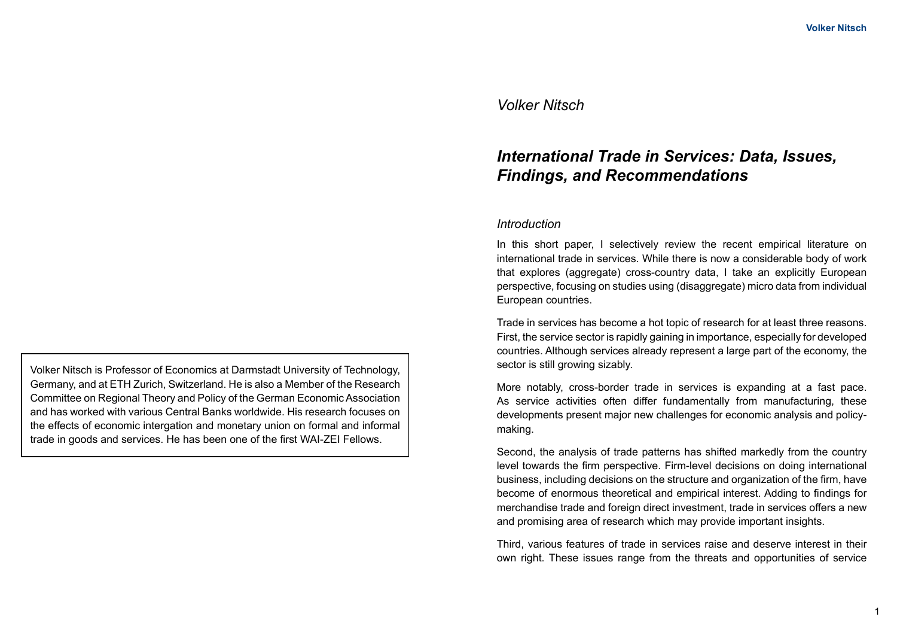## *Volker Nitsch*

# *International Trade in Services: Data, Issues, Findings, and Recommendations*

#### *Introduction*

In this short paper, I selectively review the recent empirical literature on international trade in services. While there is now a considerable body of work that explores (aggregate) cross-country data, I take an explicitly European perspective, focusing on studies using (disaggregate) micro data from individual European countries.

Trade in services has become a hot topic of research for at least three reasons. First, the service sector is rapidly gaining in importance, especially for developed countries. Although services already represent a large part of the economy, the sector is still growing sizably.

More notably, cross-border trade in services is expanding at a fast pace. As service activities often differ fundamentally from manufacturing, these developments present major new challenges for economic analysis and policymaking.

Second, the analysis of trade patterns has shifted markedly from the country level towards the firm perspective. Firm-level decisions on doing international business, including decisions on the structure and organization of the firm, have become of enormous theoretical and empirical interest. Adding to findings for merchandise trade and foreign direct investment, trade in services offers a new and promising area of research which may provide important insights.

Third, various features of trade in services raise and deserve interest in their own right. These issues range from the threats and opportunities of service

Volker Nitsch is Professor of Economics at Darmstadt University of Technology, Germany, and at ETH Zurich, Switzerland. He is also a Member of the Research Committee on Regional Theory and Policy of the German Economic Association and has worked with various Central Banks worldwide. His research focuses on the effects of economic intergation and monetary union on formal and informal trade in goods and services. He has been one of the first WAI-ZEI Fellows.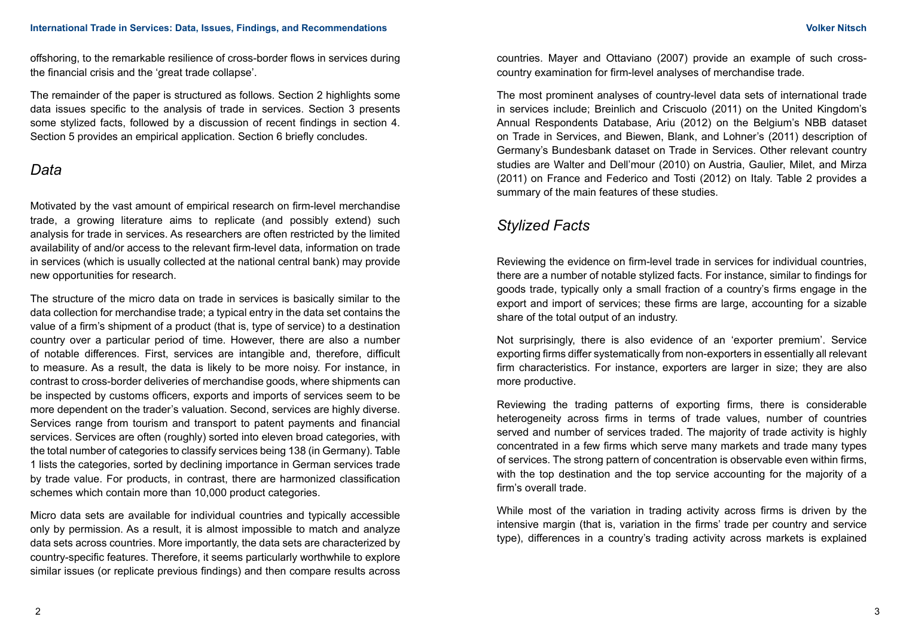offshoring, to the remarkable resilience of cross-border flows in services during the financial crisis and the 'great trade collapse'.

The remainder of the paper is structured as follows. Section 2 highlights some data issues specific to the analysis of trade in services. Section 3 presents some stylized facts, followed by a discussion of recent findings in section 4. Section 5 provides an empirical application. Section 6 briefly concludes.

# *Data*

Motivated by the vast amount of empirical research on firm-level merchandise trade, a growing literature aims to replicate (and possibly extend) such analysis for trade in services. As researchers are often restricted by the limited availability of and/or access to the relevant firm-level data, information on trade in services (which is usually collected at the national central bank) may provide new opportunities for research.

The structure of the micro data on trade in services is basically similar to the data collection for merchandise trade; a typical entry in the data set contains the value of a firm's shipment of a product (that is, type of service) to a destination country over a particular period of time. However, there are also a number of notable differences. First, services are intangible and, therefore, difficult to measure. As a result, the data is likely to be more noisy. For instance, in contrast to cross-border deliveries of merchandise goods, where shipments can be inspected by customs officers, exports and imports of services seem to be more dependent on the trader's valuation. Second, services are highly diverse. Services range from tourism and transport to patent payments and financial services. Services are often (roughly) sorted into eleven broad categories, with the total number of categories to classify services being 138 (in Germany). Table 1 lists the categories, sorted by declining importance in German services trade by trade value. For products, in contrast, there are harmonized classification schemes which contain more than 10,000 product categories.

Micro data sets are available for individual countries and typically accessible only by permission. As a result, it is almost impossible to match and analyze data sets across countries. More importantly, the data sets are characterized by country-specific features. Therefore, it seems particularly worthwhile to explore similar issues (or replicate previous findings) and then compare results across

countries. Mayer and Ottaviano (2007) provide an example of such crosscountry examination for firm-level analyses of merchandise trade.

The most prominent analyses of country-level data sets of international trade in services include; Breinlich and Criscuolo (2011) on the United Kingdom's Annual Respondents Database, Ariu (2012) on the Belgium's NBB dataset on Trade in Services, and Biewen, Blank, and Lohner's (2011) description of Germany's Bundesbank dataset on Trade in Services. Other relevant country studies are Walter and Dell'mour (2010) on Austria, Gaulier, Milet, and Mirza (2011) on France and Federico and Tosti (2012) on Italy. Table 2 provides a summary of the main features of these studies.

# *Stylized Facts*

Reviewing the evidence on firm-level trade in services for individual countries, there are a number of notable stylized facts. For instance, similar to findings for goods trade, typically only a small fraction of a country's firms engage in the export and import of services; these firms are large, accounting for a sizable share of the total output of an industry.

Not surprisingly, there is also evidence of an 'exporter premium'. Service exporting firms differ systematically from non-exporters in essentially all relevant firm characteristics. For instance, exporters are larger in size; they are also more productive.

Reviewing the trading patterns of exporting firms, there is considerable heterogeneity across firms in terms of trade values, number of countries served and number of services traded. The majority of trade activity is highly concentrated in a few firms which serve many markets and trade many types of services. The strong pattern of concentration is observable even within firms, with the top destination and the top service accounting for the majority of a firm's overall trade.

While most of the variation in trading activity across firms is driven by the intensive margin (that is, variation in the firms' trade per country and service type), differences in a country's trading activity across markets is explained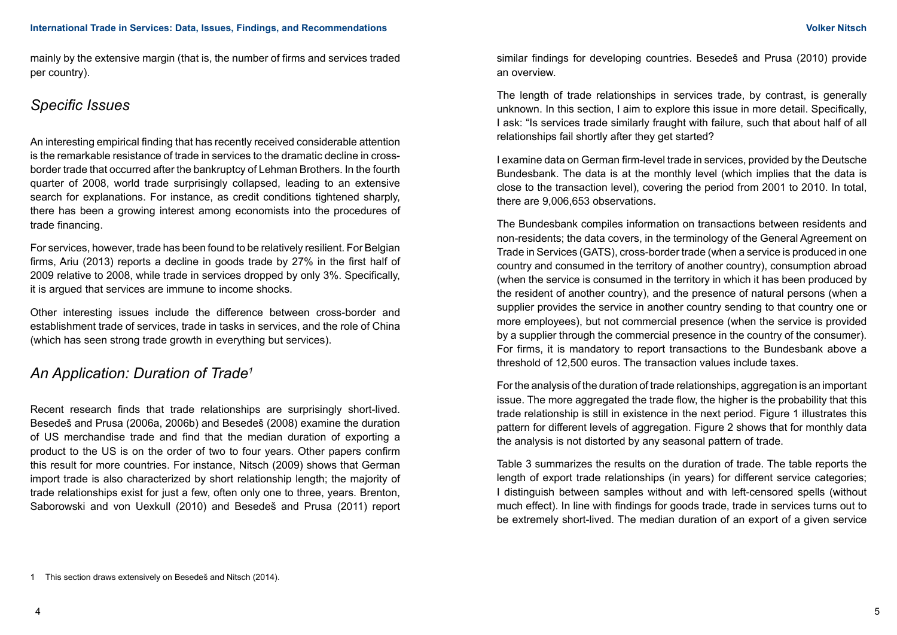mainly by the extensive margin (that is, the number of firms and services traded per country).

# *Specific Issues*

An interesting empirical finding that has recently received considerable attention is the remarkable resistance of trade in services to the dramatic decline in crossborder trade that occurred after the bankruptcy of Lehman Brothers. In the fourth quarter of 2008, world trade surprisingly collapsed, leading to an extensive search for explanations. For instance, as credit conditions tightened sharply, there has been a growing interest among economists into the procedures of trade financing.

For services, however, trade has been found to be relatively resilient. For Belgian firms, Ariu (2013) reports a decline in goods trade by 27% in the first half of 2009 relative to 2008, while trade in services dropped by only 3%. Specifically, it is argued that services are immune to income shocks.

Other interesting issues include the difference between cross-border and establishment trade of services, trade in tasks in services, and the role of China (which has seen strong trade growth in everything but services).

# *An Application: Duration of Trade1*

Recent research finds that trade relationships are surprisingly short-lived. Besedeš and Prusa (2006a, 2006b) and Besedeš (2008) examine the duration of US merchandise trade and find that the median duration of exporting a product to the US is on the order of two to four years. Other papers confirm this result for more countries. For instance, Nitsch (2009) shows that German import trade is also characterized by short relationship length; the majority of trade relationships exist for just a few, often only one to three, years. Brenton, Saborowski and von Uexkull (2010) and Besedeš and Prusa (2011) report similar findings for developing countries. Besedeš and Prusa (2010) provide an overview.

The length of trade relationships in services trade, by contrast, is generally unknown. In this section, I aim to explore this issue in more detail. Specifically, I ask: "Is services trade similarly fraught with failure, such that about half of all relationships fail shortly after they get started?

I examine data on German firm-level trade in services, provided by the Deutsche Bundesbank. The data is at the monthly level (which implies that the data is close to the transaction level), covering the period from 2001 to 2010. In total, there are 9,006,653 observations.

The Bundesbank compiles information on transactions between residents and non-residents; the data covers, in the terminology of the General Agreement on Trade in Services (GATS), cross-border trade (when a service is produced in one country and consumed in the territory of another country), consumption abroad (when the service is consumed in the territory in which it has been produced by the resident of another country), and the presence of natural persons (when a supplier provides the service in another country sending to that country one or more employees), but not commercial presence (when the service is provided by a supplier through the commercial presence in the country of the consumer). For firms, it is mandatory to report transactions to the Bundesbank above a threshold of 12,500 euros. The transaction values include taxes.

For the analysis of the duration of trade relationships, aggregation is an important issue. The more aggregated the trade flow, the higher is the probability that this trade relationship is still in existence in the next period. Figure 1 illustrates this pattern for different levels of aggregation. Figure 2 shows that for monthly data the analysis is not distorted by any seasonal pattern of trade.

Table 3 summarizes the results on the duration of trade. The table reports the length of export trade relationships (in years) for different service categories; I distinguish between samples without and with left-censored spells (without much effect). In line with findings for goods trade, trade in services turns out to be extremely short-lived. The median duration of an export of a given service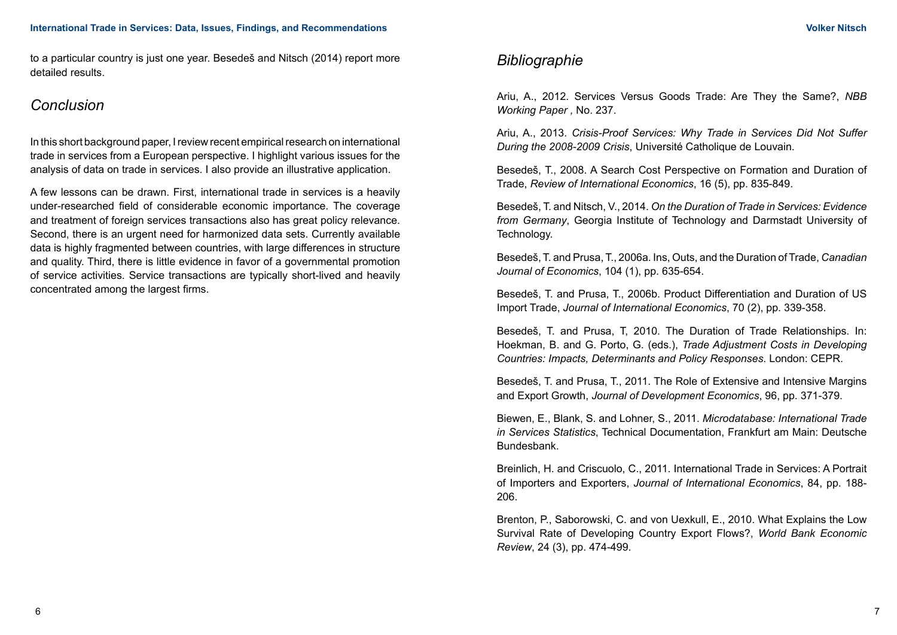to a particular country is just one year. Besedeš and Nitsch (2014) report more detailed results.

# *Conclusion*

In this short background paper, I review recent empirical research on international trade in services from a European perspective. I highlight various issues for the analysis of data on trade in services. I also provide an illustrative application.

A few lessons can be drawn. First, international trade in services is a heavily under-researched field of considerable economic importance. The coverage and treatment of foreign services transactions also has great policy relevance. Second, there is an urgent need for harmonized data sets. Currently available data is highly fragmented between countries, with large differences in structure and quality. Third, there is little evidence in favor of a governmental promotion of service activities. Service transactions are typically short-lived and heavily concentrated among the largest firms.

# *Bibliographie*

Ariu, A., 2012. Services Versus Goods Trade: Are They the Same?, *NBB Working Paper ,* No. 237.

Ariu, A., 2013. *Crisis-Proof Services: Why Trade in Services Did Not Suffer During the 2008-2009 Crisis*, Université Catholique de Louvain.

Besedeš, T., 2008. A Search Cost Perspective on Formation and Duration of Trade, *Review of International Economics*, 16 (5), pp. 835-849.

Besedeš, T. and Nitsch, V., 2014. *On the Duration of Trade in Services: Evidence from Germany*, Georgia Institute of Technology and Darmstadt University of Technology.

Besedeš, T. and Prusa, T., 2006a. Ins, Outs, and the Duration of Trade, *Canadian Journal of Economics*, 104 (1), pp. 635-654.

Besedeš, T. and Prusa, T., 2006b. Product Differentiation and Duration of US Import Trade, *Journal of International Economics*, 70 (2), pp. 339-358.

Besedeš, T. and Prusa, T, 2010. The Duration of Trade Relationships. In: Hoekman, B. and G. Porto, G. (eds.), *Trade Adjustment Costs in Developing Countries: Impacts, Determinants and Policy Responses*. London: CEPR.

Besedeš, T. and Prusa, T., 2011. The Role of Extensive and Intensive Margins and Export Growth, *Journal of Development Economics*, 96, pp. 371-379.

Biewen, E., Blank, S. and Lohner, S., 2011. *Microdatabase: International Trade in Services Statistics*, Technical Documentation, Frankfurt am Main: Deutsche Bundesbank.

Breinlich, H. and Criscuolo, C., 2011. International Trade in Services: A Portrait of Importers and Exporters, *Journal of International Economics*, 84, pp. 188- 206.

Brenton, P., Saborowski, C. and von Uexkull, E., 2010. What Explains the Low Survival Rate of Developing Country Export Flows?, *World Bank Economic Review*, 24 (3), pp. 474-499.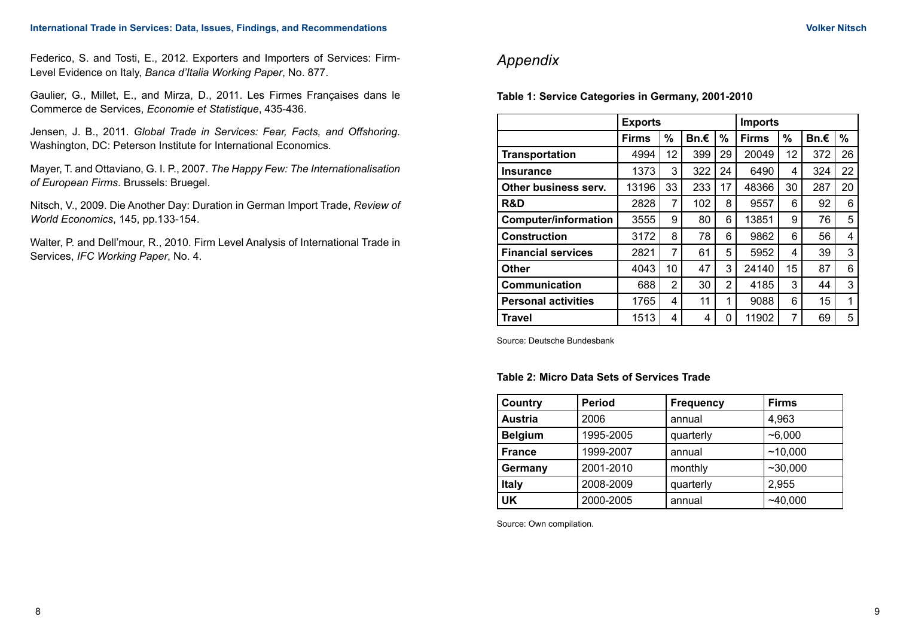Federico, S. and Tosti, E., 2012. Exporters and Importers of Services: Firm-Level Evidence on Italy, *Banca d'Italia Working Paper*, No. 877.

Gaulier, G., Millet, E., and Mirza, D., 2011. Les Firmes Françaises dans le Commerce de Services, *Economie et Statistique*, 435-436.

Jensen, J. B., 2011. *Global Trade in Services: Fear, Facts, and Offshoring*. Washington, DC: Peterson Institute for International Economics.

Mayer, T. and Ottaviano, G. I. P., 2007. *The Happy Few: The Internationalisation of European Firms*. Brussels: Bruegel.

Nitsch, V., 2009. Die Another Day: Duration in German Import Trade, *Review of World Economics*, 145, pp.133-154.

Walter, P. and Dell'mour, R., 2010. Firm Level Analysis of International Trade in Services, *IFC Working Paper*, No. 4.

# *Appendix*

**Table 1: Service Categories in Germany, 2001-2010**

|                             | <b>Exports</b> |                |      |                | <b>Imports</b> |    |      |    |
|-----------------------------|----------------|----------------|------|----------------|----------------|----|------|----|
|                             | <b>Firms</b>   | %              | Bn.€ | %              | <b>Firms</b>   | %  | Bn.€ | %  |
| <b>Transportation</b>       | 4994           | 12             | 399  | 29             | 20049          | 12 | 372  | 26 |
| Insurance                   | 1373           | 3              | 322  | 24             | 6490           | 4  | 324  | 22 |
| Other business serv.        | 13196          | 33             | 233  | 17             | 48366          | 30 | 287  | 20 |
| <b>R&amp;D</b>              | 2828           | 7              | 102  | 8              | 9557           | 6  | 92   | 6  |
| <b>Computer/information</b> | 3555           | 9              | 80   | 6              | 13851          | 9  | 76   | 5  |
| <b>Construction</b>         | 3172           | 8              | 78   | 6              | 9862           | 6  | 56   | 4  |
| <b>Financial services</b>   | 2821           | 7              | 61   | 5              | 5952           | 4  | 39   | 3  |
| Other                       | 4043           | 10             | 47   | 3              | 24140          | 15 | 87   | 6  |
| <b>Communication</b>        | 688            | $\overline{2}$ | 30   | $\overline{2}$ | 4185           | 3  | 44   | 3  |
| <b>Personal activities</b>  | 1765           | 4              | 11   | 1              | 9088           | 6  | 15   | 1  |
| Travel                      | 1513           | 4              | 4    | 0              | 11902          | 7  | 69   | 5  |

Source: Deutsche Bundesbank

#### **Table 2: Micro Data Sets of Services Trade**

| Country        | <b>Period</b> | <b>Frequency</b> | <b>Firms</b> |  |
|----------------|---------------|------------------|--------------|--|
| <b>Austria</b> | 2006          | annual           | 4,963        |  |
| <b>Belgium</b> | 1995-2005     | quarterly        | $-6,000$     |  |
| <b>France</b>  | 1999-2007     | annual           | ~10,000      |  |
| Germany        | 2001-2010     | monthly          | ~10,000      |  |
| <b>Italy</b>   | 2008-2009     | quarterly        | 2,955        |  |
| UK             | 2000-2005     | annual           | ~140,000     |  |

Source: Own compilation.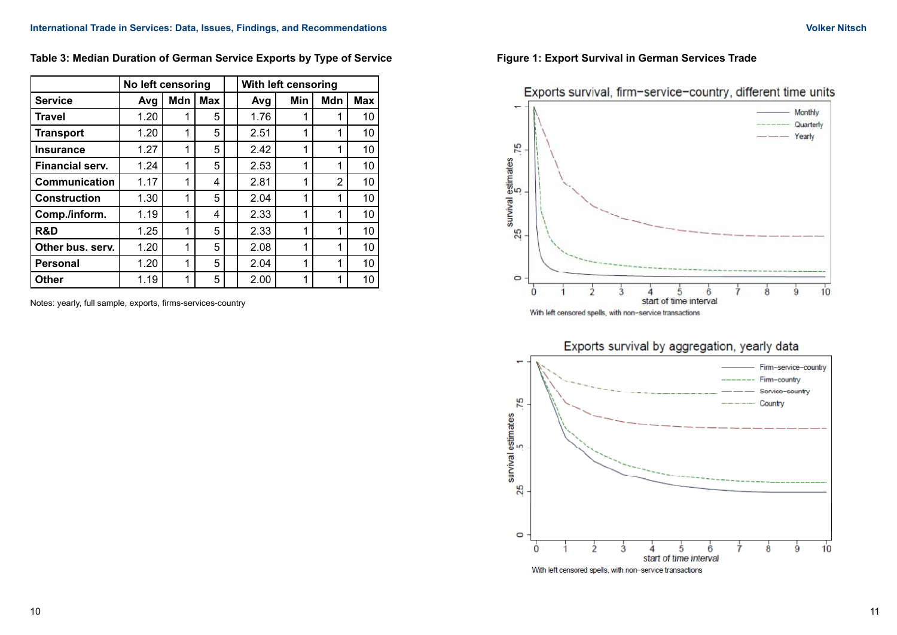|                        | No left censoring |     |            | With left censoring |     |                |            |
|------------------------|-------------------|-----|------------|---------------------|-----|----------------|------------|
| <b>Service</b>         | Avg               | Mdn | <b>Max</b> | Avg                 | Min | Mdn            | <b>Max</b> |
| <b>Travel</b>          | 1.20              |     | 5          | 1.76                | 1   |                | 10         |
| <b>Transport</b>       | 1.20              | 1   | 5          | 2.51                | 1   | 1              | 10         |
| <b>Insurance</b>       | 1.27              | 1   | 5          | 2.42                | 1   | 1              | 10         |
| <b>Financial serv.</b> | 1.24              | 1   | 5          | 2.53                | 1   | 1              | 10         |
| Communication          | 1.17              | 1   | 4          | 2.81                | 1   | $\overline{2}$ | 10         |
| <b>Construction</b>    | 1.30              | 1   | 5          | 2.04                | 1   | 1              | 10         |
| Comp./inform.          | 1.19              | 1   | 4          | 2.33                | 1   | 1              | 10         |
| R&D                    | 1.25              | 1   | 5          | 2.33                | 1   | 1              | 10         |
| Other bus. serv.       | 1.20              | 1   | 5          | 2.08                | 1   | 1              | 10         |
| <b>Personal</b>        | 1.20              | 1   | 5          | 2.04                | 1   | 1              | 10         |
| <b>Other</b>           | 1.19              |     | 5          | 2.00                | 1   | 1              | 10         |

**Table 3: Median Duration of German Service Exports by Type of Service**

Notes: yearly, full sample, exports, firms-services-country



### **Figure 1: Export Survival in German Services Trade**



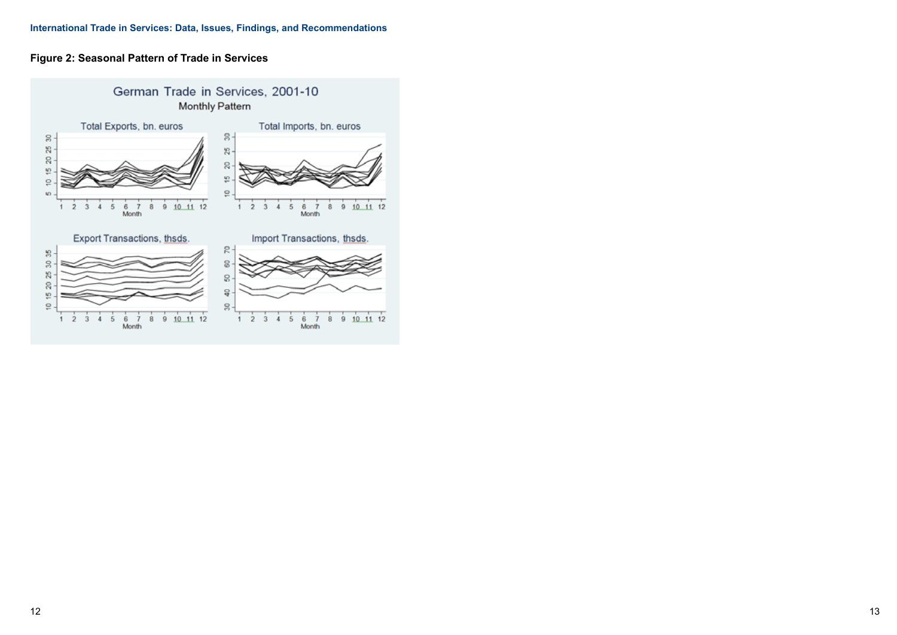## **Figure 2: Seasonal Pattern of Trade in Services**